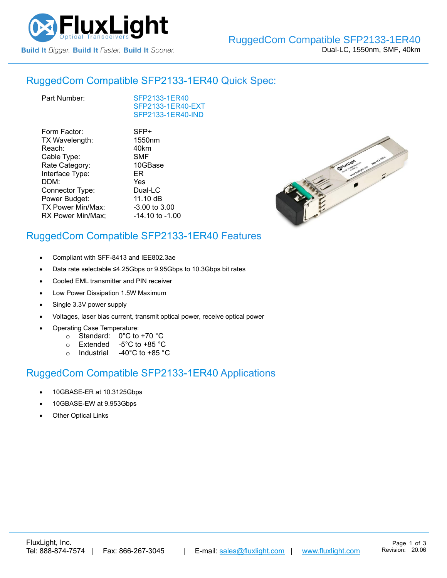

## RuggedCom Compatible [SFP2133-1ER40](https://www.fluxlight.com/sfp2133-1er40/) Quick Spec:

| Part Number: |
|--------------|
|              |

[SFP2133-1ER40](https://www.fluxlight.com/sfp2133-1er40/) [SFP2133-1ER40-](https://www.fluxlight.com/sfp2133-1er40/)EXT [SFP2133-1ER40-](https://www.fluxlight.com/sfp2133-1er40/)IND

| Form Factor:      | SFP+                |
|-------------------|---------------------|
| TX Wavelength:    | 1550nm              |
| Reach:            | 40km                |
| Cable Type:       | <b>SMF</b>          |
| Rate Category:    | 10GBase             |
| Interface Type:   | ER                  |
| DDM:              | Yes                 |
| Connector Type:   | Dual-LC             |
| Power Budget:     | 11.10 dB            |
| TX Power Min/Max: | -3.00 to 3.00       |
| RX Power Min/Max; | $-14.10$ to $-1.00$ |
|                   |                     |



# RuggedCom Compatible [SFP2133-1ER40](https://www.fluxlight.com/sfp2133-1er40/) Features

- Compliant with SFF-8413 and IEE802.3ae
- Data rate selectable ≤4.25Gbps or 9.95Gbps to 10.3Gbps bit rates
- Cooled EML transmitter and PIN receiver
- Low Power Dissipation 1.5W Maximum
- Single 3.3V power supply
- Voltages, laser bias current, transmit optical power, receive optical power
- Operating Case Temperature:
	- o Standard: 0°C to +70 °C
	- o Extended -5°C to +85 °C
	- o Industrial -40°C to +85 °C

## RuggedCom Compatible [SFP2133-1ER40](https://www.fluxlight.com/sfp2133-1er40/) Applications

- 10GBASE-ER at 10.3125Gbps
- 10GBASE-EW at 9.953Gbps
- **Other Optical Links**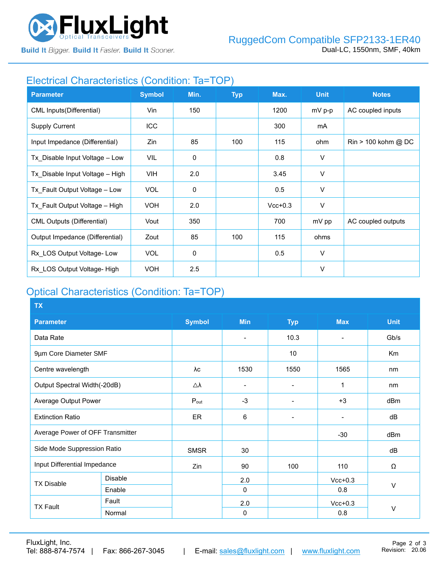

**Build It Bigger. Build It Faster. Build It Sooner.** 

### Electrical Characteristics (Condition: Ta=TOP)

| <b>Parameter</b>                  | <b>Symbol</b> | Min.        | <b>Typ</b> | Max.      | <b>Unit</b> | <b>Notes</b>                          |
|-----------------------------------|---------------|-------------|------------|-----------|-------------|---------------------------------------|
| <b>CML Inputs(Differential)</b>   | Vin           | 150         |            | 1200      | mV p-p      | AC coupled inputs                     |
| <b>Supply Current</b>             | ICC           |             |            | 300       | mA          |                                       |
| Input Impedance (Differential)    | Zin           | 85          | 100        | 115       | ohm         | $\text{Rin} > 100 \text{ kohm } @$ DC |
| Tx_Disable Input Voltage - Low    | VIL           | $\mathbf 0$ |            | 0.8       | V           |                                       |
| Tx Disable Input Voltage - High   | VIH.          | 2.0         |            | 3.45      | V           |                                       |
| Tx Fault Output Voltage - Low     | <b>VOL</b>    | $\mathbf 0$ |            | 0.5       | $\vee$      |                                       |
| Tx Fault Output Voltage - High    | <b>VOH</b>    | 2.0         |            | $Vcc+0.3$ | V           |                                       |
| <b>CML Outputs (Differential)</b> | Vout          | 350         |            | 700       | mV pp       | AC coupled outputs                    |
| Output Impedance (Differential)   | Zout          | 85          | 100        | 115       | ohms        |                                       |
| Rx LOS Output Voltage-Low         | <b>VOL</b>    | 0           |            | 0.5       | $\vee$      |                                       |
| Rx LOS Output Voltage- High       | <b>VOH</b>    | 2.5         |            |           | $\vee$      |                                       |

# Optical Characteristics (Condition: Ta=TOP)

| <b>TX</b>                        |                |                  |                          |                 |                          |                |
|----------------------------------|----------------|------------------|--------------------------|-----------------|--------------------------|----------------|
| <b>Parameter</b>                 |                | <b>Symbol</b>    | <b>Min</b>               | <b>Typ</b>      | <b>Max</b>               | <b>Unit</b>    |
| Data Rate                        |                |                  | $\overline{\phantom{0}}$ | 10.3            | $\overline{\phantom{a}}$ | Gb/s           |
| 9µm Core Diameter SMF            |                |                  |                          | 10              |                          | K <sub>m</sub> |
| Centre wavelength                |                | λc               | 1530                     | 1550            | 1565                     | nm             |
| Output Spectral Width(-20dB)     |                | Δλ               |                          |                 | 1                        | nm             |
| Average Output Power             |                | $P_{\text{out}}$ | $-3$                     |                 | $+3$                     | dBm            |
| <b>Extinction Ratio</b>          |                | <b>ER</b>        | 6                        | $\qquad \qquad$ | $\blacksquare$           | dB             |
| Average Power of OFF Transmitter |                |                  |                          |                 | $-30$                    | dBm            |
| Side Mode Suppression Ratio      |                | <b>SMSR</b>      | 30                       |                 |                          | dB             |
| Input Differential Impedance     |                | Zin              | 90                       | 100             | 110                      | Ω              |
| <b>TX Disable</b>                | <b>Disable</b> |                  | 2.0                      |                 | $Vcc+0.3$                |                |
|                                  | Enable         |                  | $\Omega$                 |                 | 0.8                      | V              |
| <b>TX Fault</b>                  | Fault          |                  | 2.0                      |                 | $Vcc+0.3$                |                |
|                                  | Normal         |                  | 0                        |                 | 0.8                      | $\vee$         |